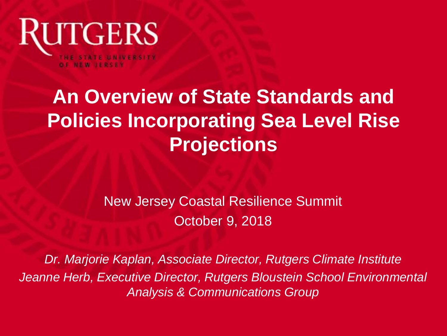

### **An Overview of State Standards and Policies Incorporating Sea Level Rise Projections**

New Jersey Coastal Resilience Summit October 9, 2018

*Dr. Marjorie Kaplan, Associate Director, Rutgers Climate Institute Jeanne Herb, Executive Director, Rutgers Bloustein School Environmental Analysis & Communications Group*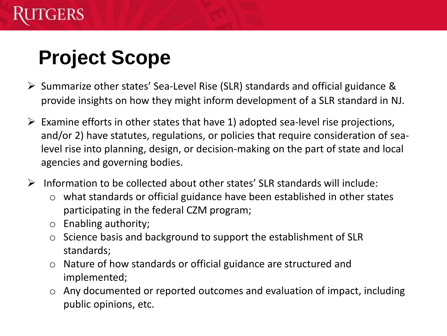

# **Project Scope**

- $\triangleright$  Summarize other states' Sea-Level Rise (SLR) standards and official guidance & provide insights on how they might inform development of a SLR standard in NJ.
- $\triangleright$  Examine efforts in other states that have 1) adopted sea-level rise projections, and/or 2) have statutes, regulations, or policies that require consideration of sealevel rise into planning, design, or decision-making on the part of state and local agencies and governing bodies.
- $\triangleright$  Information to be collected about other states' SLR standards will include:
	- o what standards or official guidance have been established in other states participating in the federal CZM program;
	- o Enabling authority;
	- o Science basis and background to support the establishment of SLR standards;
	- o Nature of how standards or official guidance are structured and implemented;
	- o Any documented or reported outcomes and evaluation of impact, including public opinions, etc.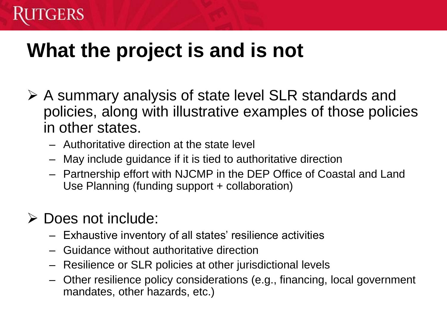### **What the project is and is not**

- A summary analysis of state level SLR standards and policies, along with illustrative examples of those policies in other states.
	- Authoritative direction at the state level
	- May include guidance if it is tied to authoritative direction
	- Partnership effort with NJCMP in the DEP Office of Coastal and Land Use Planning (funding support + collaboration)

#### $\triangleright$  Does not include:

GERS

- Exhaustive inventory of all states' resilience activities
- Guidance without authoritative direction
- Resilience or SLR policies at other jurisdictional levels
- Other resilience policy considerations (e.g., financing, local government mandates, other hazards, etc.)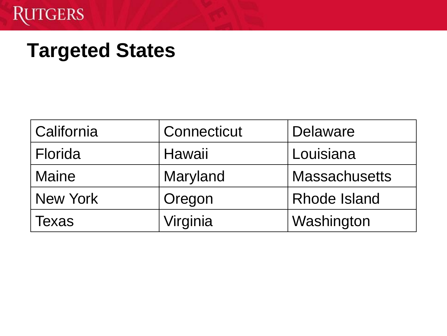### **Targeted States**

| <b>California</b> | Connecticut | <b>Delaware</b>      |
|-------------------|-------------|----------------------|
| Florida           | Hawaii      | Louisiana            |
| <b>Maine</b>      | Maryland    | <b>Massachusetts</b> |
| <b>New York</b>   | Oregon      | <b>Rhode Island</b>  |
| <b>Texas</b>      | Virginia    | Washington           |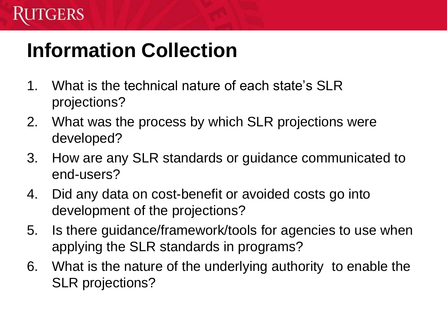# **Information Collection**

- 1. What is the technical nature of each state's SLR projections?
- 2. What was the process by which SLR projections were developed?
- 3. How are any SLR standards or guidance communicated to end-users?
- 4. Did any data on cost-benefit or avoided costs go into development of the projections?
- 5. Is there guidance/framework/tools for agencies to use when applying the SLR standards in programs?
- 6. What is the nature of the underlying authority to enable the SLR projections?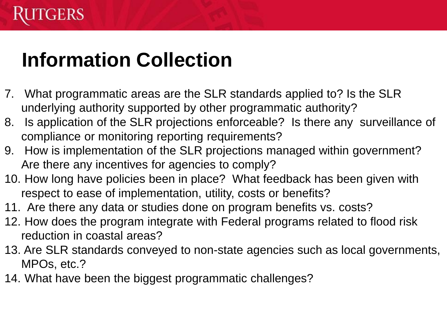## **Information Collection**

- 7. What programmatic areas are the SLR standards applied to? Is the SLR underlying authority supported by other programmatic authority?
- 8. Is application of the SLR projections enforceable? Is there any surveillance of compliance or monitoring reporting requirements?
- 9. How is implementation of the SLR projections managed within government? Are there any incentives for agencies to comply?
- 10. How long have policies been in place? What feedback has been given with respect to ease of implementation, utility, costs or benefits?
- 11. Are there any data or studies done on program benefits vs. costs?
- 12. How does the program integrate with Federal programs related to flood risk reduction in coastal areas?
- 13. Are SLR standards conveyed to non-state agencies such as local governments, MPOs, etc.?
- 14. What have been the biggest programmatic challenges?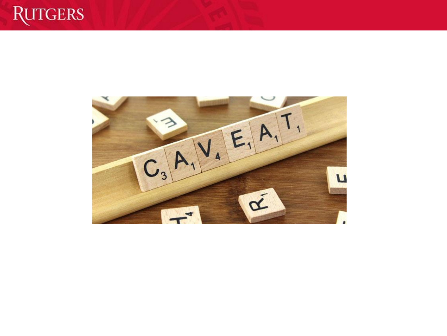

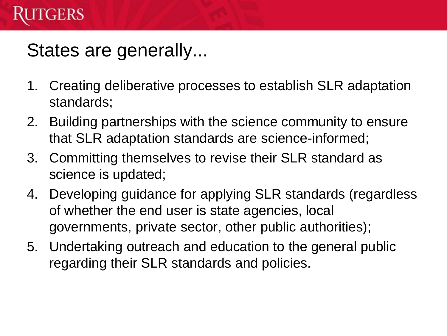#### States are generally...

- 1. Creating deliberative processes to establish SLR adaptation standards;
- 2. Building partnerships with the science community to ensure that SLR adaptation standards are science-informed;
- 3. Committing themselves to revise their SLR standard as science is updated;
- 4. Developing guidance for applying SLR standards (regardless of whether the end user is state agencies, local governments, private sector, other public authorities);
- 5. Undertaking outreach and education to the general public regarding their SLR standards and policies.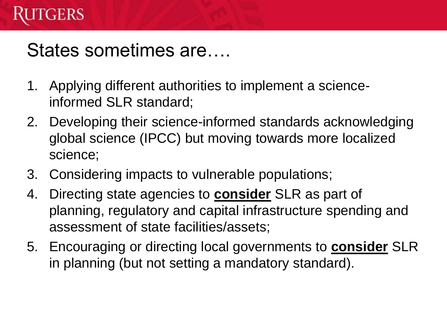#### States sometimes are….

- 1. Applying different authorities to implement a scienceinformed SLR standard;
- 2. Developing their science-informed standards acknowledging global science (IPCC) but moving towards more localized science;
- 3. Considering impacts to vulnerable populations;
- 4. Directing state agencies to **consider** SLR as part of planning, regulatory and capital infrastructure spending and assessment of state facilities/assets;
- 5. Encouraging or directing local governments to **consider** SLR in planning (but not setting a mandatory standard).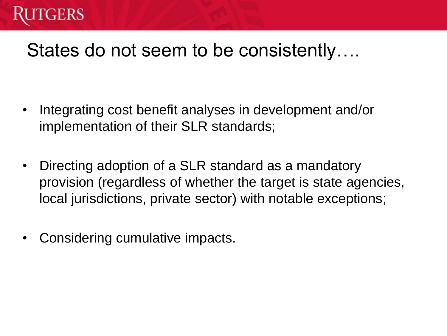

#### States do not seem to be consistently….

- Integrating cost benefit analyses in development and/or implementation of their SLR standards;
- Directing adoption of a SLR standard as a mandatory provision (regardless of whether the target is state agencies, local jurisdictions, private sector) with notable exceptions;
- Considering cumulative impacts.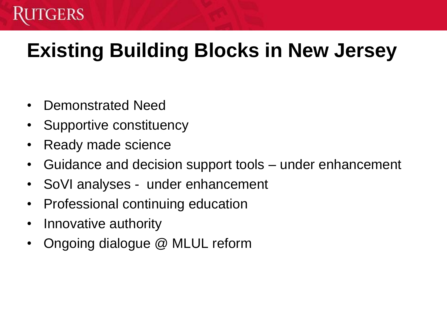#### **GERS**

# **Existing Building Blocks in New Jersey**

- Demonstrated Need
- Supportive constituency
- Ready made science
- Guidance and decision support tools under enhancement
- SoVI analyses under enhancement
- Professional continuing education
- Innovative authority
- Ongoing dialogue @ MLUL reform